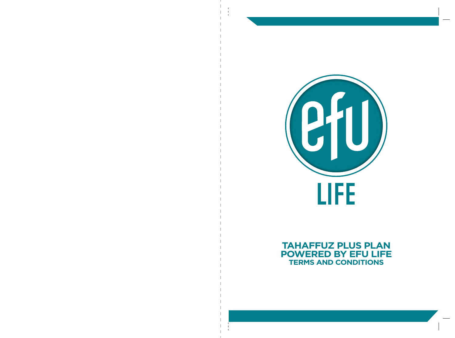

# **TAHAFFUZ PLUS PLAN POWERED BY EFU LIFE TERMS AND CONDITIONS**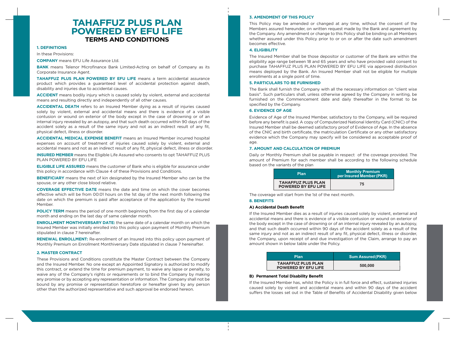# **TAHAFFUZ PLUS PLAN POWERED BY EFU LIFE TERMS AND CONDITIONS**

## **1. DEFINITIONS**

In these Provisions:

**COMPANY** means EFU Life Assurance Ltd.

**BANK** means Telenor Microfinance Bank Limited-Acting on behalf of Company as its Corporate Insurance Agent.

**TAHAFFUZ PLUS PLAN POWERED BY EFU LIFE** means a term accidental assurance product which provides a guaranteed level of accidental protection against death, disability and injuries due to accidental causes.

**ACCIDENT** means bodily injury which is caused solely by violent, external and accidental means and resulting directly and independently of all other causes.

**ACCIDENTAL DEATH** refers to an Insured Member dying as a result of injuries caused solely by violent, external and accidental means and there is evidence of a visible contusion or wound on exterior of the body except in the case of drowning or of an internal injury revealed by an autopsy, and that such death occurred within 90 days of the accident solely as a result of the same injury and not as an indirect result of any fit, physical defect, illness or disorder.

**ACCIDENTAL MEDICAL EXPENSE BENEFIT** means an Insured Member incurred hospital expenses on account of treatment of injuries caused solely by violent, external and accidental means and not as an indirect result of any fit, physical defect, illness or disorder.

**INSURED MEMBER** means the Eligible Life Assured who consents to opt TAHAFFUZ PLUS PLAN POWERED BY EFU LIFE

**ELIGIBLE LIFE ASSURED** means the customer of Bank who is eligible for assurance under this policy in accordance with Clause 4 of these Provisions and Conditions.

**BENEFICIARY** means the next of kin designated by the Insured Member who can be the spouse, or any other close blood relative.

**COVERAGE EFFECTIVE DATE** means the date and time on which the cover becomes effective which will be from 00:01 hours on the 1st day of the next month following the date on which the premium is paid after acceptance of the application by the Insured Member.

**POLICY TERM** means the period of one month beginning from the first day of a calendar month and ending on the last day of same calendar month.

**ENROLLMENT MONTHIVERSARY DATE:** the same date of a calendar month on which the Insured Member was initially enrolled into this policy upon payment of Monthly Premium stipulated in clause 7 hereinafter.

**RENEWAL ENROLLMENT:** Re-enrollment of an Insured into this policy upon payment of Monthly Premium on Enrollment Monthiversary Date stipulated in clause 7 hereinafter.

#### **2. MASTER CONTRACT**

These Provisions and Conditions constitute the Master Contract between the Company and the Insured Member. No one except an Appointed Signatory is authorized to modify this contract, or extend the time for premium payment, to waive any lapse or penalty, to waive any of the Company's rights or requirements or to bind the Company by making any promise or by accepting any representation or information. The Company shall not be bound by any promise or representation heretofore or hereafter given by any person other than the authorized representative and such approval be endorsed hereon.

## **3. AMENDMENT OF THIS POLICY**

This Policy may be amended or changed at any time, without the consent of the Members assured hereunder, on written request made by the Bank and agreement by the Company. Any amendment or change to this Policy shall be binding on all Members whether assured under this Policy prior to or on or after the date such amendment becomes effective.

## **4. ELIGIBILITY**

The Insured Member shall be those depositor or customer of the Bank are within the eligibility age range between 18 and 65 years and who have provided valid consent to purchase TAHAFFUZ PLUS PLAN POWERED BY EFU LIFE via approved distribution means deployed by the Bank. An Insured Member shall not be eligible for multiple enrollments at a single point of time.

## **5. PARTICULARS TO BE FURNISHED**

The Bank shall furnish the Company with all the necessary information on "client wise basis". Such particulars shall, unless otherwise agreed by the Company in writing, be furnished on the Commencement date and daily thereafter in the format to be specified by the Company.

# **6. EVIDENCE OF AGE**

Evidence of Age of the Insured Member, satisfactory to the Company, will be required before any benefit is paid. A copy of Computerized National Identity Card (CNIC) of the Insured Member shall be deemed satisfactory proof of Evidence of Age. In the absence of the CNIC and birth certificate, the matriculation Certificate or any other satisfactory evidence which the Company may specify will be considered as acceptable proof of age.

#### **7. AMOUNT AND CALCULATION OF PREMIUM**

Daily or Monthly Premium shall be payable in respect of the coverage provided. The amount of Premium for each member shall be according to the following schedule based on the variants of the plan

| <b>Plan</b>                                             | <b>Monthly Premium</b><br>per Insured Member (PKR) |
|---------------------------------------------------------|----------------------------------------------------|
| <b>TAHAFFUZ PLUS PLAN</b><br><b>POWERED BY EFU LIFE</b> | 75                                                 |

The coverage will start from the 1st of the next month.

#### **8. BENEFITS**

## **A) Accidental Death Benefit**

If the Insured Member dies as a result of injuries caused solely by violent, external and accidental means and there is evidence of a visible contusion or wound on exterior of the body except in the case of drowning or of an internal injury revealed by an autopsy, and that such death occurred within 90 days of the accident solely as a result of the same injury and not as an indirect result of any fit, physical defect, illness or disorder, the Company, upon receipt of and due investigation of the Claim, arrange to pay an amount shown in below table under the Policy.

| <b>Plan</b>                                             | <b>Sum Assured (PKR)</b> |
|---------------------------------------------------------|--------------------------|
| <b>TAHAFFUZ PLUS PLAN</b><br><b>POWERED BY EFU LIFE</b> | 500,000                  |

## **B) Permanent Total Disability Benefit**

If the Insured Member has, whilst the Policy is in full force and effect, sustained injuries caused solely by violent and accidental means and within 90 days of the accident suffers the losses set out in the Table of Benefits of Accidental Disability given below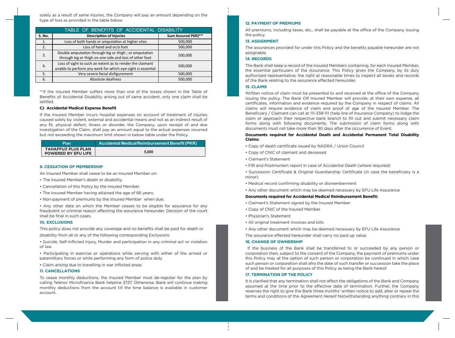solely as a result of same injuries, the Company will pay an amount depending on the type of loss as provided in the table below.

| TABLE OF BENEFITS OF ACCIDENTAL DISABILITY |                                                                                                                                     |         |  |
|--------------------------------------------|-------------------------------------------------------------------------------------------------------------------------------------|---------|--|
| S. No.                                     | <b>Description of Injuries</b><br>Sum Assured PKR)**                                                                                |         |  |
| 1.                                         | Loss of both hands or amputation at higher sites                                                                                    | 500,000 |  |
| 2.                                         | Loss of hand and or/a foot                                                                                                          | 500,000 |  |
| 3.                                         | Double amputation through leg or thigh; or amputation<br>through leg or thigh on one side and loss of other foot                    | 500,000 |  |
| 4.                                         | Loss of sight to such an extent as to render the claimant<br>500,000<br>unable to perform any work for which eye-sight is essential |         |  |
| 5.                                         | Very severe facial disfigurement                                                                                                    | 500,000 |  |
| 6.                                         | Absolute deafness                                                                                                                   | 500,000 |  |

\*\*If the Insured Member suffers more than one of the losses shown in the Table of Benefits of Accidental Disability arising out of same accident, only one claim shall be settled.

### **C) Accidental Medical Expense Benefit**

If the Insured Member incurs hospital expenses on account of treatment of injuries caused solely by violent, external and accidental means and not as an indirect result of any fit, physical defect, illness or disorder, the Company, upon receipt of and due investigation of the Claim, shall pay an amount equal to the actual expenses incurred but not exceeding the maximum limit shown in below table under the Policy.

| Plan                                                    | Accidental Medical Reimbursement Benefit (PKR) |
|---------------------------------------------------------|------------------------------------------------|
| <b>TAHAFFUZ PLUS PLAN</b><br><b>POWERED BY EFU LIFE</b> | 5.000                                          |

#### **9. CESSATION OF MEMBERSHIP**

An Insured Member shall cease to be an Insured Member on:

- The Insured Member's death or disability.
- Cancellation of this Policy by the Insured Member.
- The Insured Member having attained the age of 66 years;
- Non-payment of premiums by the Insured Member when due;

• Any other date on which the Member ceases to be eligible for assurance for any fraudulent or criminal reason affecting the assurance hereunder. Decision of the court shall be final in such cases.

# **10. EXCLUSIONS**

This policy does not provide any coverage and no benefits shall be paid for death or disability from all or any of the following corresponding Exclusions:

• Suicide, Self-Inflicted Injury, Murder and participation in any criminal act or violation of law.

• Participating in exercise or operations while serving with either of the armed or paramilitary forces or while performing any form of police duty

• Claim arising due to travelling in war inflicted areas

#### **11. CANCELLATIONS**

To cease monthly deductions, the Insured Member must de-register for the plan by calling Telenor Microfinance Bank helpline 3737. Otherwise, Bank will continue making monthly deductions from the account till the time balance is available in customer account.

#### **12. PAYMENT OF PREMIUMS**

All premiums, including taxes, etc., shall be payable at the office of the Company issuing the policy.

# **13. ASSIGNMENT**

The assurances provided for under this Policy and the benefits payable hereunder are not assignable.

# **14. RECORDS**

The Bank shall keep a record of the Insured Members containing, for each Insured Member, the essential particulars of the Assurance. This Policy gives the Company, by its duly authorized representative, the right at reasonable times to inspect all books and records of the Bank relating to the assurance effected hereunder.

# **15. CLAIMS**

Written notice of claim must be presented to and received at the office of the Company issuing the policy. The Bank OR Insured Member will provide, at their own expense, all certificates, information and evidence required by the Company in respect of claims. All claims will require evidence of claim and proof of age of the Insured Member. The Beneficiary / Claimant can call at 111-338-111 (help line of Insurance Company) to lodge the claim or approach their respective bank branch to fill out and submit necessary claim forms along with following documents. The submission of claim forms along with documents must not take more than 90 days after the occurrence of Event.

#### **Documents required for Accidental Death and Accidental Permanent Total Disability Claims:**

- Copy of death certificate issued by NADRA / Union Council
- Copy of CNIC of claimant and deceased
- Claimant's Statement
- FIR and Postmortem report in case of Accidental Death (where required)
- Succession Certificate & Original Guardianship Certificate (in case the beneficiary is a minor)
- Medical record confirming disability or dismemberment
- Any other document which may be deemed necessary by EFU Life Assurance

#### **Documents required for Accidental Medical Reimbursement Benefit:**

- Claimant's Statement signed by the Insured Member
- Copy of CNIC of the Insured Member
- Physician's Statement
- All original treatment invoices and bills
- Any other document which may be deemed necessary by EFU Life Assurance

The assurance effected hereunder shall carry no paid up value.

#### **16. CHANGE OF OWNERSHIP**

 If the business of the Bank shall be transferred to or succeeded by any person or corporation then, subject to the consent of the Company, the payment of premiums under this Policy may at the option of such person or corporation be continued in which case such person or corporation shall afro the date of such transfer or succession take the place of and be treated for all purposes of this Policy as being the Bank hereof.

#### **17. TERMINATION OF THE POLICY**

It is clarified that any termination shall not affect the obligations of the Bank and Company assumed at the time prior to the effective date of termination. Further, the Company reserves the right to give the Bank three months' written notice to add, alter or repeal the terms and conditions of the Agreement Hereof Notwithstanding anything contrary in this